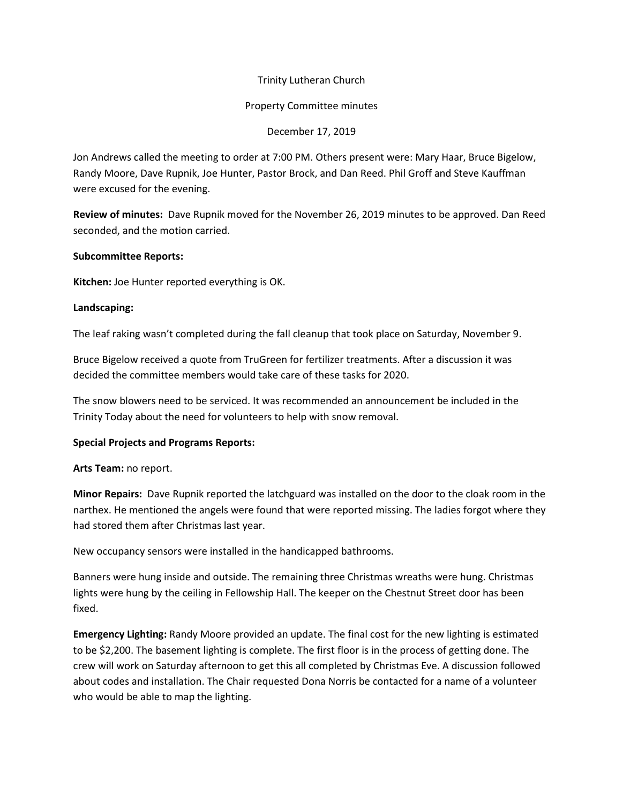# Trinity Lutheran Church

### Property Committee minutes

## December 17, 2019

Jon Andrews called the meeting to order at 7:00 PM. Others present were: Mary Haar, Bruce Bigelow, Randy Moore, Dave Rupnik, Joe Hunter, Pastor Brock, and Dan Reed. Phil Groff and Steve Kauffman were excused for the evening.

**Review of minutes:** Dave Rupnik moved for the November 26, 2019 minutes to be approved. Dan Reed seconded, and the motion carried.

### **Subcommittee Reports:**

**Kitchen:** Joe Hunter reported everything is OK.

### **Landscaping:**

The leaf raking wasn't completed during the fall cleanup that took place on Saturday, November 9.

Bruce Bigelow received a quote from TruGreen for fertilizer treatments. After a discussion it was decided the committee members would take care of these tasks for 2020.

The snow blowers need to be serviced. It was recommended an announcement be included in the Trinity Today about the need for volunteers to help with snow removal.

#### **Special Projects and Programs Reports:**

#### **Arts Team:** no report.

**Minor Repairs:** Dave Rupnik reported the latchguard was installed on the door to the cloak room in the narthex. He mentioned the angels were found that were reported missing. The ladies forgot where they had stored them after Christmas last year.

New occupancy sensors were installed in the handicapped bathrooms.

Banners were hung inside and outside. The remaining three Christmas wreaths were hung. Christmas lights were hung by the ceiling in Fellowship Hall. The keeper on the Chestnut Street door has been fixed.

**Emergency Lighting:** Randy Moore provided an update. The final cost for the new lighting is estimated to be \$2,200. The basement lighting is complete. The first floor is in the process of getting done. The crew will work on Saturday afternoon to get this all completed by Christmas Eve. A discussion followed about codes and installation. The Chair requested Dona Norris be contacted for a name of a volunteer who would be able to map the lighting.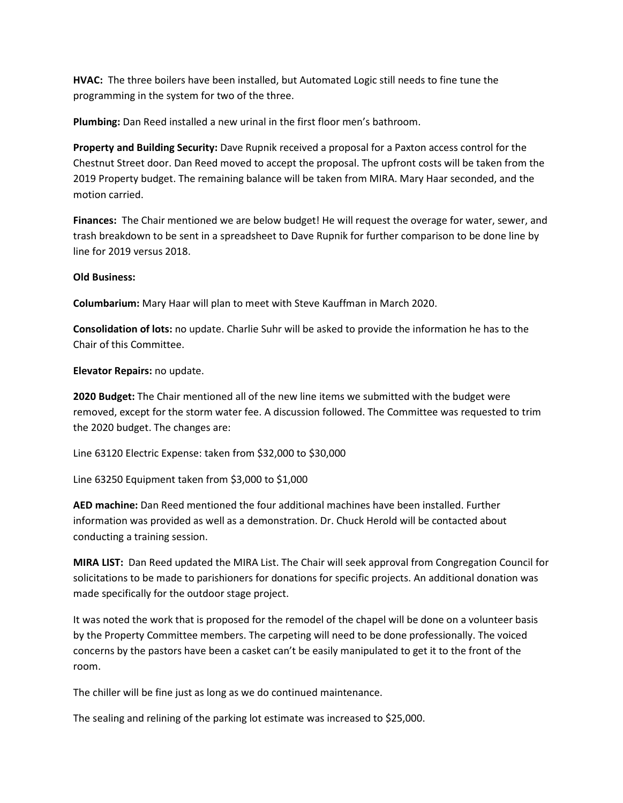**HVAC:** The three boilers have been installed, but Automated Logic still needs to fine tune the programming in the system for two of the three.

**Plumbing:** Dan Reed installed a new urinal in the first floor men's bathroom.

**Property and Building Security:** Dave Rupnik received a proposal for a Paxton access control for the Chestnut Street door. Dan Reed moved to accept the proposal. The upfront costs will be taken from the 2019 Property budget. The remaining balance will be taken from MIRA. Mary Haar seconded, and the motion carried.

**Finances:** The Chair mentioned we are below budget! He will request the overage for water, sewer, and trash breakdown to be sent in a spreadsheet to Dave Rupnik for further comparison to be done line by line for 2019 versus 2018.

# **Old Business:**

**Columbarium:** Mary Haar will plan to meet with Steve Kauffman in March 2020.

**Consolidation of lots:** no update. Charlie Suhr will be asked to provide the information he has to the Chair of this Committee.

**Elevator Repairs:** no update.

**2020 Budget:** The Chair mentioned all of the new line items we submitted with the budget were removed, except for the storm water fee. A discussion followed. The Committee was requested to trim the 2020 budget. The changes are:

Line 63120 Electric Expense: taken from \$32,000 to \$30,000

Line 63250 Equipment taken from \$3,000 to \$1,000

**AED machine:** Dan Reed mentioned the four additional machines have been installed. Further information was provided as well as a demonstration. Dr. Chuck Herold will be contacted about conducting a training session.

**MIRA LIST:** Dan Reed updated the MIRA List. The Chair will seek approval from Congregation Council for solicitations to be made to parishioners for donations for specific projects. An additional donation was made specifically for the outdoor stage project.

It was noted the work that is proposed for the remodel of the chapel will be done on a volunteer basis by the Property Committee members. The carpeting will need to be done professionally. The voiced concerns by the pastors have been a casket can't be easily manipulated to get it to the front of the room.

The chiller will be fine just as long as we do continued maintenance.

The sealing and relining of the parking lot estimate was increased to \$25,000.